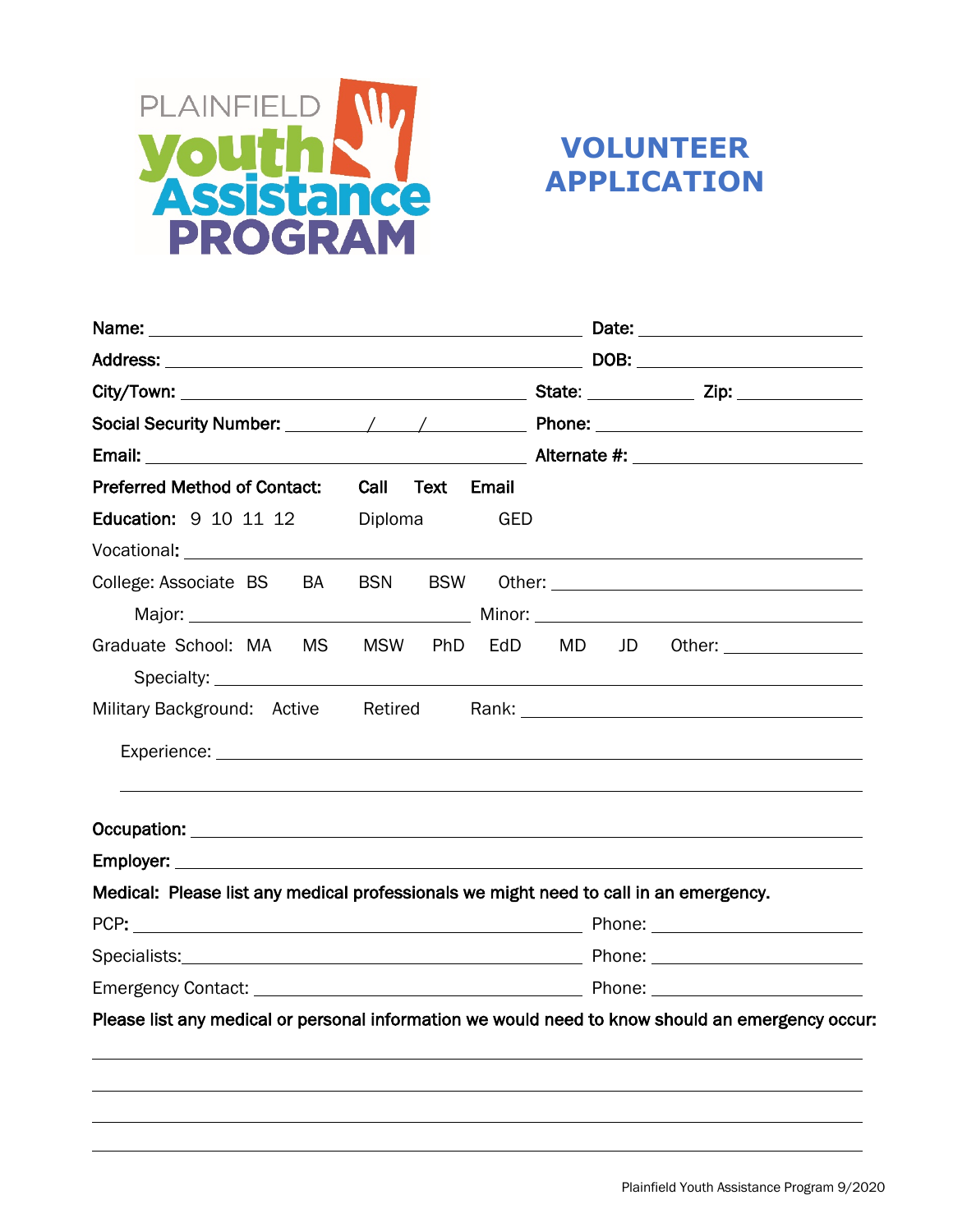

# **VOLUNTEER APPLICATION**

| Name:                                                                                                                                                                                                                          |                          | the contract of the contract of the contract of the contract of the contract of the contract of the contract o |
|--------------------------------------------------------------------------------------------------------------------------------------------------------------------------------------------------------------------------------|--------------------------|----------------------------------------------------------------------------------------------------------------|
|                                                                                                                                                                                                                                |                          |                                                                                                                |
|                                                                                                                                                                                                                                |                          |                                                                                                                |
|                                                                                                                                                                                                                                |                          |                                                                                                                |
|                                                                                                                                                                                                                                |                          |                                                                                                                |
| <b>Preferred Method of Contact:</b>                                                                                                                                                                                            | Call Text Email          |                                                                                                                |
| Education: 9 10 11 12                                                                                                                                                                                                          | Diploma<br>GED           |                                                                                                                |
| Vocational: and the control of the control of the control of the control of the control of the control of the control of the control of the control of the control of the control of the control of the control of the control |                          |                                                                                                                |
| College: Associate BS<br>BA                                                                                                                                                                                                    | <b>BSW</b><br><b>BSN</b> |                                                                                                                |
|                                                                                                                                                                                                                                |                          |                                                                                                                |
| Graduate School: MA<br><b>MS</b>                                                                                                                                                                                               | MSW PhD<br>EdD           | JD<br>MD <sub>1</sub><br>Other: _________________                                                              |
|                                                                                                                                                                                                                                |                          |                                                                                                                |
| Military Background: Active                                                                                                                                                                                                    |                          | Retired Rank: Rank:                                                                                            |
|                                                                                                                                                                                                                                |                          |                                                                                                                |
|                                                                                                                                                                                                                                |                          |                                                                                                                |
|                                                                                                                                                                                                                                |                          |                                                                                                                |
| Medical: Please list any medical professionals we might need to call in an emergency.                                                                                                                                          |                          |                                                                                                                |
|                                                                                                                                                                                                                                |                          |                                                                                                                |
|                                                                                                                                                                                                                                |                          |                                                                                                                |
|                                                                                                                                                                                                                                |                          |                                                                                                                |
|                                                                                                                                                                                                                                |                          | Please list any medical or personal information we would need to know should an emergency occur:               |
|                                                                                                                                                                                                                                |                          |                                                                                                                |
|                                                                                                                                                                                                                                |                          |                                                                                                                |
|                                                                                                                                                                                                                                |                          |                                                                                                                |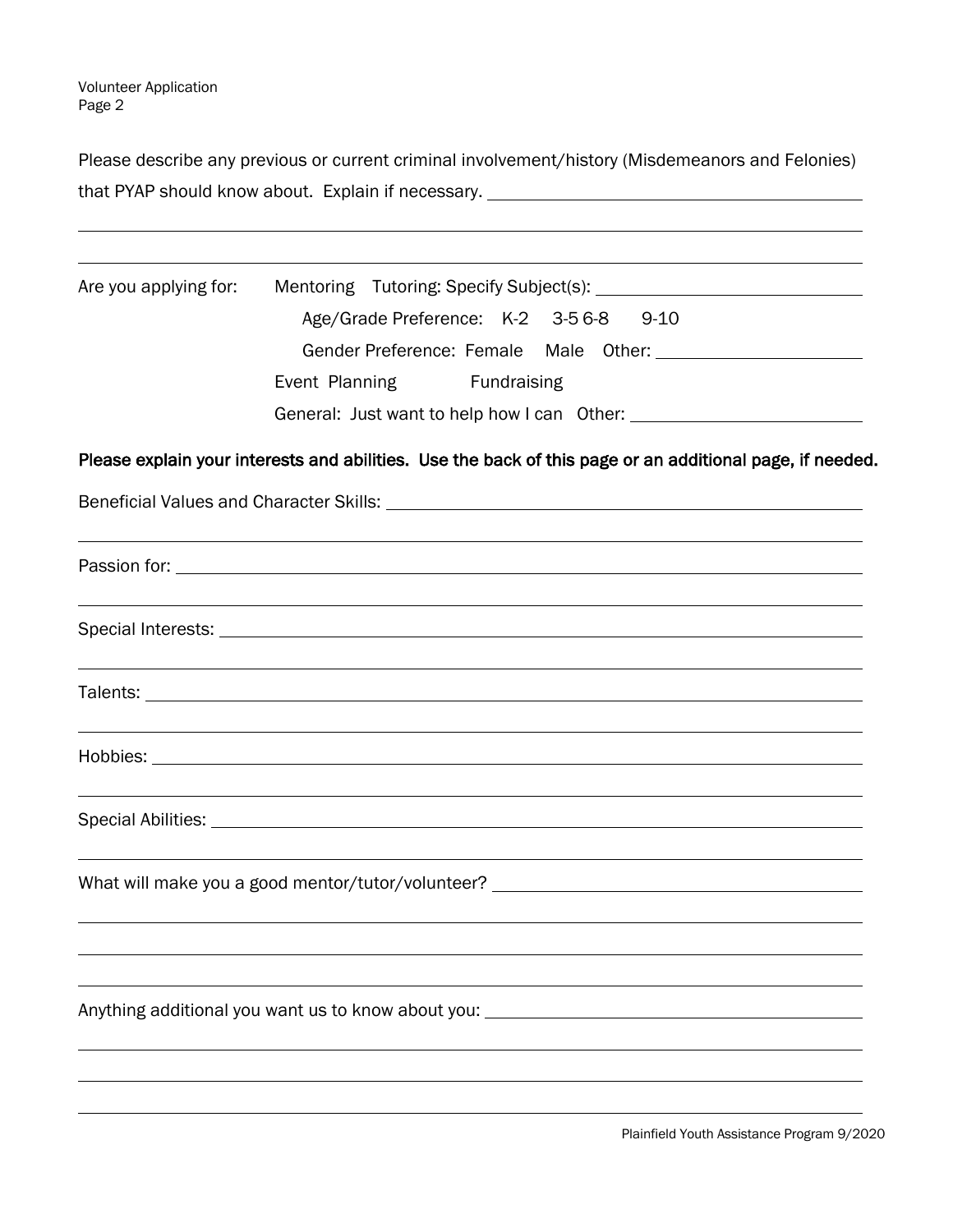Please describe any previous or current criminal involvement/history (Misdemeanors and Felonies) that PYAP should know about. Explain if necessary.

| Are you applying for: |                                                                                                          |  |  |
|-----------------------|----------------------------------------------------------------------------------------------------------|--|--|
|                       | Age/Grade Preference: K-2 3-56-8 9-10                                                                    |  |  |
|                       |                                                                                                          |  |  |
|                       | Event Planning Fundraising                                                                               |  |  |
|                       |                                                                                                          |  |  |
|                       | Please explain your interests and abilities. Use the back of this page or an additional page, if needed. |  |  |
|                       |                                                                                                          |  |  |
|                       |                                                                                                          |  |  |
|                       |                                                                                                          |  |  |
|                       |                                                                                                          |  |  |
|                       |                                                                                                          |  |  |
|                       |                                                                                                          |  |  |
|                       | What will make you a good mentor/tutor/volunteer? ______________________________                         |  |  |
|                       |                                                                                                          |  |  |
|                       | Anything additional you want us to know about you: _____________________________                         |  |  |
|                       |                                                                                                          |  |  |
|                       |                                                                                                          |  |  |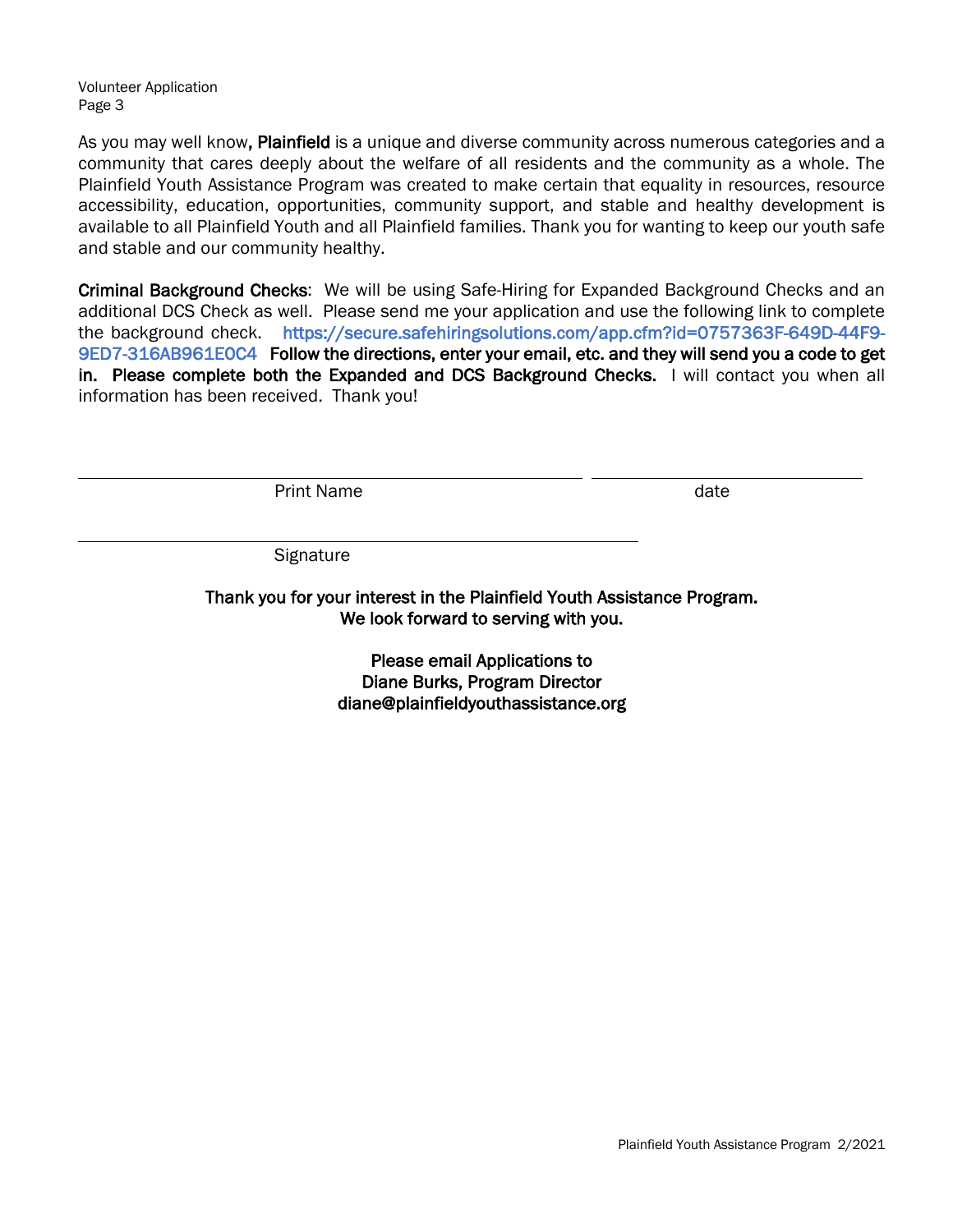Volunteer Application Page 3

As you may well know, Plainfield is a unique and diverse community across numerous categories and a community that cares deeply about the welfare of all residents and the community as a whole. The Plainfield Youth Assistance Program was created to make certain that equality in resources, resource accessibility, education, opportunities, community support, and stable and healthy development is available to all Plainfield Youth and all Plainfield families. Thank you for wanting to keep our youth safe and stable and our community healthy.

Criminal Background Checks: We will be using Safe-Hiring for Expanded Background Checks and an additional DCS Check as well. Please send me your application and use the following link to complete the background check. https://secure.safehiringsolutions.com/app.cfm?id=0757363F-649D-44F9- 9ED7-316AB961E0C4 Follow the directions, enter your email, etc. and they will send you a code to get in. Please complete both the Expanded and DCS Background Checks. I will contact you when all information has been received. Thank you!

Print Name date and the state of the state date

**Signature** 

Thank you for your interest in the Plainfield Youth Assistance Program. We look forward to serving with you.

> Please email Applications to Diane Burks, Program Director diane@plainfieldyouthassistance.org